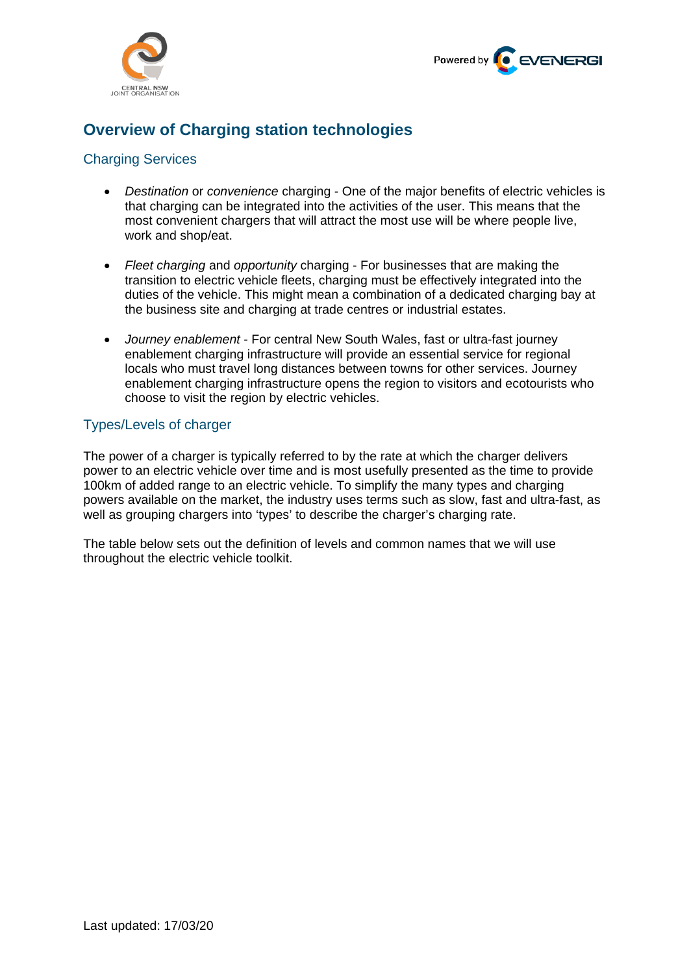



# **Overview of Charging station technologies**

# Charging Services

- *Destination* or *convenience* charging One of the major benefits of electric vehicles is that charging can be integrated into the activities of the user. This means that the most convenient chargers that will attract the most use will be where people live, work and shop/eat.
- *Fleet charging* and *opportunity* charging For businesses that are making the transition to electric vehicle fleets, charging must be effectively integrated into the duties of the vehicle. This might mean a combination of a dedicated charging bay at the business site and charging at trade centres or industrial estates.
- *Journey enablement* For central New South Wales, fast or ultra-fast journey enablement charging infrastructure will provide an essential service for regional locals who must travel long distances between towns for other services. Journey enablement charging infrastructure opens the region to visitors and ecotourists who choose to visit the region by electric vehicles.

## Types/Levels of charger

The power of a charger is typically referred to by the rate at which the charger delivers power to an electric vehicle over time and is most usefully presented as the time to provide 100km of added range to an electric vehicle. To simplify the many types and charging powers available on the market, the industry uses terms such as slow, fast and ultra-fast, as well as grouping chargers into 'types' to describe the charger's charging rate.

The table below sets out the definition of levels and common names that we will use throughout the electric vehicle toolkit.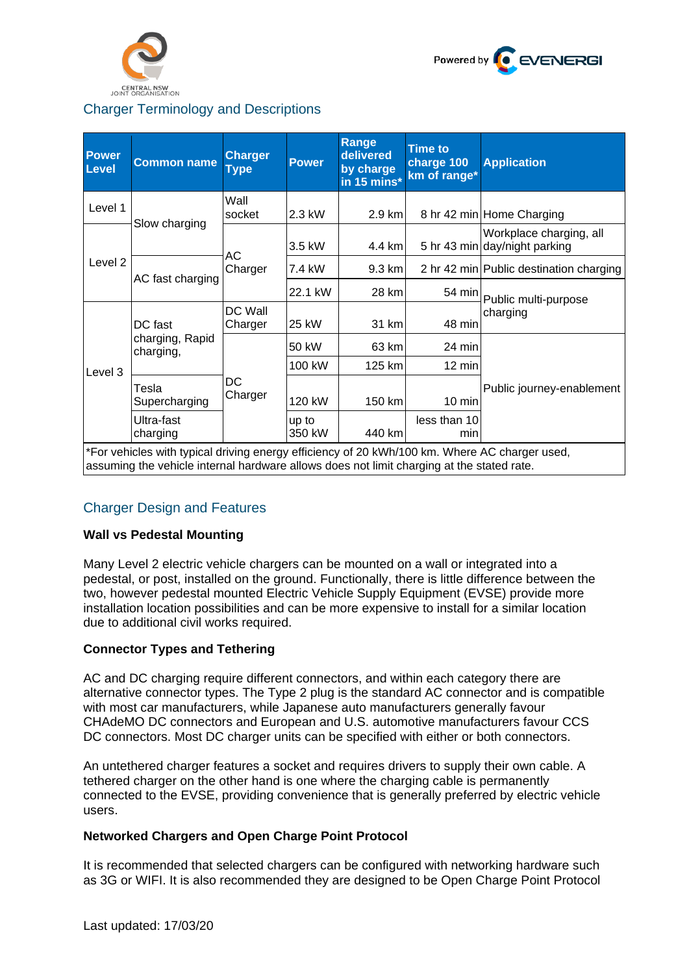



# Charger Terminology and Descriptions

| <b>Power</b><br><b>Level</b>                                                                                                                                                               | <b>Common name</b>                      | <b>Charger</b><br>Type | <b>Power</b>    | Range<br>delivered<br>by charge<br>in 15 mins* | <b>Time to</b><br>charge 100<br>km of range* | <b>Application</b>                                       |
|--------------------------------------------------------------------------------------------------------------------------------------------------------------------------------------------|-----------------------------------------|------------------------|-----------------|------------------------------------------------|----------------------------------------------|----------------------------------------------------------|
| Level 1                                                                                                                                                                                    | Slow charging                           | Wall<br>socket         | 2.3 kW          | 2.9 km                                         |                                              | 8 hr 42 min Home Charging                                |
| Level 2                                                                                                                                                                                    |                                         | АC<br>Charger          | 3.5 kW          | 4.4 km                                         |                                              | Workplace charging, all<br>5 hr 43 min day/night parking |
|                                                                                                                                                                                            | AC fast charging                        |                        | 7.4 kW          | 9.3 km                                         |                                              | 2 hr 42 min Public destination charging                  |
|                                                                                                                                                                                            |                                         |                        | 22.1 kW         | 28 km                                          | 54 min                                       | Public multi-purpose<br>charging                         |
| Level 3                                                                                                                                                                                    | DC fast<br>charging, Rapid<br>charging, | DC Wall<br>Charger     | 25 kW           | 31 km                                          | 48 min                                       |                                                          |
|                                                                                                                                                                                            |                                         | DC<br>Charger          | 50 kW           | 63 km                                          | 24 min                                       | Public journey-enablement                                |
|                                                                                                                                                                                            |                                         |                        | 100 kW          | 125 km                                         | 12 min                                       |                                                          |
|                                                                                                                                                                                            | Tesla<br>Supercharging                  |                        | 120 kW          | 150 km                                         | $10 \text{ min}$                             |                                                          |
|                                                                                                                                                                                            | Ultra-fast<br>charging                  |                        | up to<br>350 kW | 440 km                                         | less than 10<br>min                          |                                                          |
| *For vehicles with typical driving energy efficiency of 20 kWh/100 km. Where AC charger used,<br>assuming the vehicle internal hardware allows does not limit charging at the stated rate. |                                         |                        |                 |                                                |                                              |                                                          |

## Charger Design and Features

#### **Wall vs Pedestal Mounting**

Many Level 2 electric vehicle chargers can be mounted on a wall or integrated into a pedestal, or post, installed on the ground. Functionally, there is little difference between the two, however pedestal mounted Electric Vehicle Supply Equipment (EVSE) provide more installation location possibilities and can be more expensive to install for a similar location due to additional civil works required.

#### **Connector Types and Tethering**

AC and DC charging require different connectors, and within each category there are alternative connector types. The Type 2 plug is the standard AC connector and is compatible with most car manufacturers, while Japanese auto manufacturers generally favour CHAdeMO DC connectors and European and U.S. automotive manufacturers favour CCS DC connectors. Most DC charger units can be specified with either or both connectors.

An untethered charger features a socket and requires drivers to supply their own cable. A tethered charger on the other hand is one where the charging cable is permanently connected to the EVSE, providing convenience that is generally preferred by electric vehicle users.

#### **Networked Chargers and Open Charge Point Protocol**

It is recommended that selected chargers can be configured with networking hardware such as 3G or WIFI. It is also recommended they are designed to be Open Charge Point Protocol